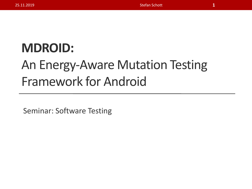### **ΜDROID:**

### An Energy-Aware Mutation Testing Framework for Android

Seminar: Software Testing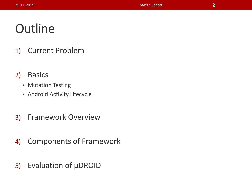#### **Outline**

- 1) Current Problem
- 2) Basics
	- Mutation Testing
	- Android Activity Lifecycle
- 3) Framework Overview
- 4) Components of Framework
- 5) Evaluation of µDROID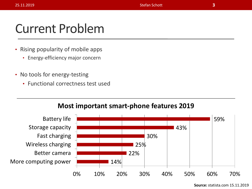#### Current Problem

- Rising popularity of mobile apps
	- Energy-efficiency major concern
- No tools for energy-testing
	- Functional correctness test used

#### **Most important smart-phone features 2019**

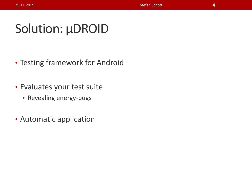### Solution: µDROID

- Testing framework for Android
- Evaluates your test suite
	- Revealing energy-bugs
- Automatic application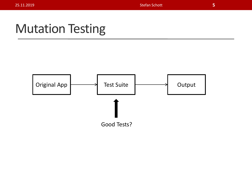#### Mutation Testing

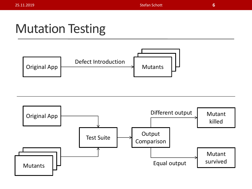#### Mutation Testing



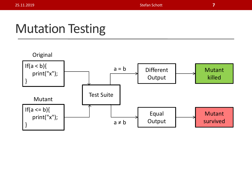#### Mutation Testing

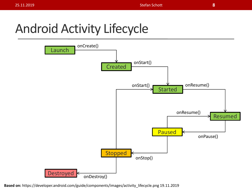### Android Activity Lifecycle



**Based on:** https://developer.android.com/guide/components/images/activity\_lifecycle.png 19.11.2019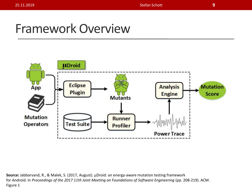#### Framework Overview

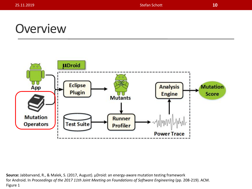#### **Overview**

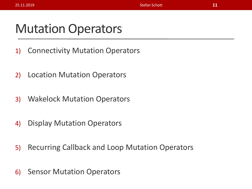#### Mutation Operators

- 1) Connectivity Mutation Operators
- 2) Location Mutation Operators
- 3) Wakelock Mutation Operators
- 4) Display Mutation Operators
- 5) Recurring Callback and Loop Mutation Operators
- 6) Sensor Mutation Operators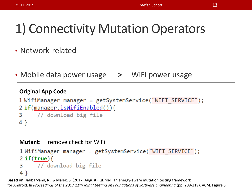### 1) Connectivity Mutation Operators

- Network-related
- Mobile data power usage **>** WiFi power usage

#### **Original App Code**

```
1 WifiManager manager = getSystemService("WIFI SERVICE");
2 if(manager.isWifiEnabled()){
    // download big file
3
4 }
```

```
Mutant: remove check for WiFi
1WifiManager manager = getSystemService("WIFI_SERVICE");
2 if (true) {
    // download big file
3
4 }
```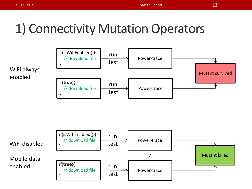### 1) Connectivity Mutation Operators



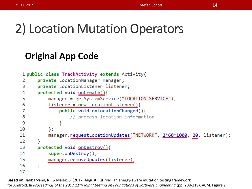#### 2) Location Mutation Operators

#### **Original App Code**

```
1 public class TrackActivity extends Activity{
      private LocationManager manager;
 2
 3
      private LocationListener listener;
      protected void onCreate(){
 4
 5
          manager = getSystemService("LOCATION SERVICE");
           listener = new LocationListener()6
 7
               public void onLocationChanged(){
 8
                   // process location information
               }
 9
           ን:
10
          manager.requestLocationUpdates("NETWORK", 2*60*1000, 20, listener);
11
12Y
      protected void onDestroy(){
13
           super.onDestroy();
14
15
          manager.removeUpdates(listener);
16
       }
17 }
```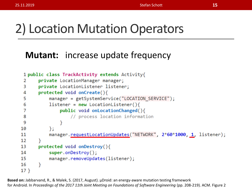#### 2) Location Mutation Operators

#### **Mutant:** increase update frequency

```
1 public class TrackActivity extends Activity{
       private LocationManager manager;
 2
 3
       private LocationListener listener;
       protected void onCreate(){
 4
           manager = getSystemService("LOCATION SERVICE");
 5
           listener = new LocationListener()6
               public void onLocationChanged(){
 7
                    // process location information
 8
 9
                }
           \};
10
           manager.requestLocationUpdates("NETWORK", 2*60*1000, 1, listener);
11
12 \overline{ }Ł
      protected void onDestroy(){
13
14
           super. onDestroy();
           manager.removeUpdates(listener);
15
16
       }
17 }
```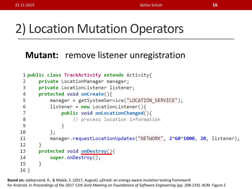#### 2) Location Mutation Operators

#### **Mutant:** remove listener unregistration

```
1 public class TrackActivity extends Activity{
      private LocationManager manager;
2
      private LocationListener listener;
 3
      protected void onCreate(){
 4
          manager = getSystemService("LOCATION_SERVICE");
 5
 6
          listener = new LocationListener()7
               public void onLocationChanged(){
                   // process location information
8
9
               }
10
          \}manager.requestLocationUpdates("NETWORK", 2*60*1000, 20, listener);
1112
      protected void onDestroy(){
13
14
           super. onDestroy();
15
       ł
16 \}
```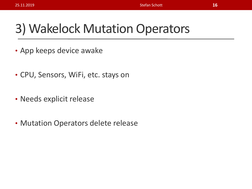#### 3) Wakelock Mutation Operators

- App keeps device awake
- CPU, Sensors, WiFi, etc. stays on
- Needs explicit release
- Mutation Operators delete release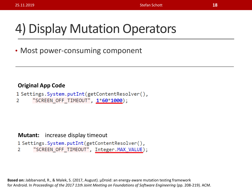### 4) Display Mutation Operators

• Most power-consuming component

#### **Original App Code**

```
1 Settings. System.putInt(getContentResolver(),
```
"SCREEN\_OFF\_TIMEOUT", 1\*60\*1000);  $\mathcal{P}$ 

**Mutant:** increase display timeout

```
1 Settings. System.putInt(getContentResolver(),
      "SCREEN OFF TIMEOUT", Integer. MAX VALUE);
2
```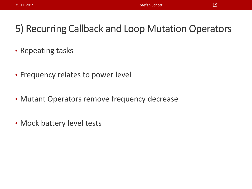#### 5) Recurring Callback and Loop Mutation Operators

- Repeating tasks
- Frequency relates to power level
- Mutant Operators remove frequency decrease
- Mock battery level tests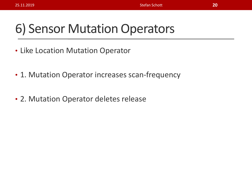### 6) Sensor Mutation Operators

- Like Location Mutation Operator
- 1. Mutation Operator increases scan-frequency
- 2. Mutation Operator deletes release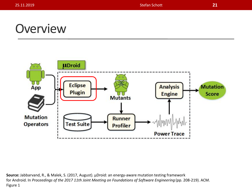#### **Overview**

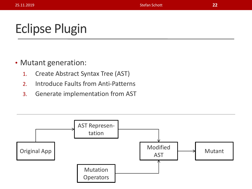### Eclipse Plugin

- Mutant generation:
	- 1. Create Abstract Syntax Tree (AST)
	- 2. Introduce Faults from Anti-Patterns
	- 3. Generate implementation from AST

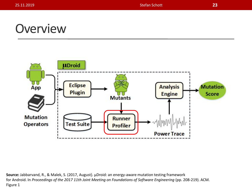#### **Overview**

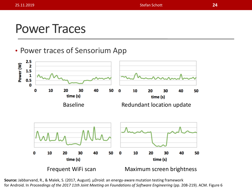#### Power Traces

#### • Power traces of Sensorium App

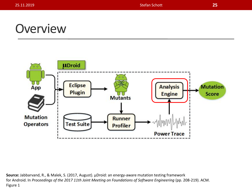#### **Overview**

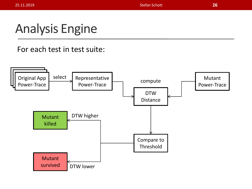### Analysis Engine

#### For each test in test suite:

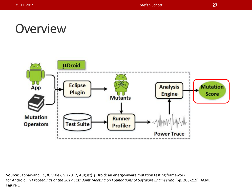#### **Overview**

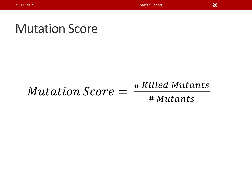#### Mutation Score

#### Mutation Score =

# Killed Mutants

# Mutants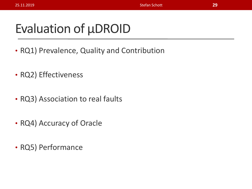### Evaluation of  $\mu$ DROID

- RQ1) Prevalence, Quality and Contribution
- RQ2) Effectiveness
- RQ3) Association to real faults
- RQ4) Accuracy of Oracle
- RQ5) Performance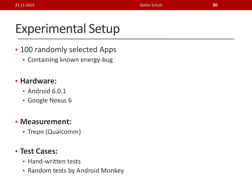### Experimental Setup

- 100 randomly selected Apps
	- Containing known energy-bug

#### • **Hardware:**

- Android 6.0.1
- Google Nexus 6

#### • **Measurement:**

• Trepn (Qualcomm)

#### • **Test Cases:**

- Hand-written tests
- Random tests by Android Monkey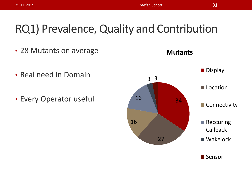#### RQ1) Prevalence, Quality and Contribution

- 28 Mutants on average
- Real need in Domain
- Every Operator useful 16 16 34



**Mutants**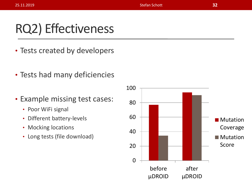### RQ2) Effectiveness

- Tests created by developers
- Tests had many deficiencies
- Example missing test cases:
	- Poor WiFi signal
	- Different battery-levels
	- Mocking locations
	- Long tests (file download)

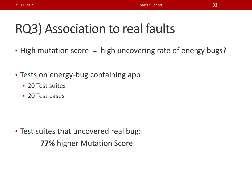### RQ3) Association to real faults

- High mutation score = high uncovering rate of energy bugs?
- Tests on energy-bug containing app
	- 20 Test suites
	- 20 Test cases

• Test suites that uncovered real bug: **77%** higher Mutation Score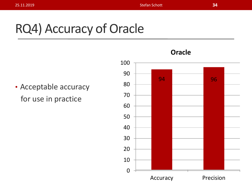## RQ4) Accuracy of Oracle

• Acceptable accuracy for use in practice

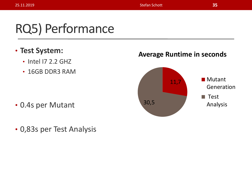### RQ5) Performance

- **Test System:**
	- Intel I7 2.2 GHZ
	- 16GB DDR3 RAM

- 0.4s per Mutant
- 0,83s per Test Analysis

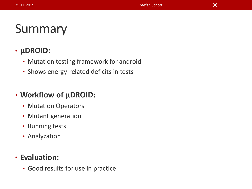### Summary

#### • **µDROID:**

- Mutation testing framework for android
- Shows energy-related deficits in tests

#### • **Workflow of µDROID:**

- Mutation Operators
- Mutant generation
- Running tests
- Analyzation

#### • **Evaluation:**

• Good results for use in practice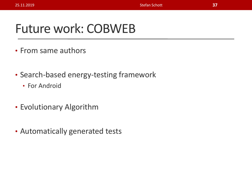#### Future work: COBWEB

- From same authors
- Search-based energy-testing framework
	- For Android
- Evolutionary Algorithm
- Automatically generated tests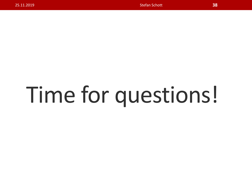# Time for questions!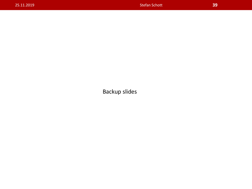Backup slides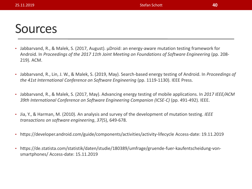#### Sources

- Jabbarvand, R., & Malek, S. (2017, August). µDroid: an energy-aware mutation testing framework for Android. In *Proceedings of the 2017 11th Joint Meeting on Foundations of Software Engineering* (pp. 208- 219). ACM.
- Jabbarvand, R., Lin, J. W., & Malek, S. (2019, May). Search-based energy testing of Android. In *Proceedings of the 41st International Conference on Software Engineering* (pp. 1119-1130). IEEE Press.
- Jabbarvand, R., & Malek, S. (2017, May). Advancing energy testing of mobile applications. In *2017 IEEE/ACM 39th International Conference on Software Engineering Companion (ICSE-C)* (pp. 491-492). IEEE.
- Jia, Y., & Harman, M. (2010). An analysis and survey of the development of mutation testing. *IEEE transactions on software engineering*, *37*(5), 649-678.
- https://developer.android.com/guide/components/activities/activity-lifecycle Access-date: 19.11.2019
- https://de.statista.com/statistik/daten/studie/180389/umfrage/gruende-fuer-kaufentscheidung-vonsmartphones/ Access-date: 15.11.2019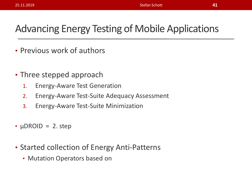#### Advancing Energy Testing of Mobile Applications

- Previous work of authors
- Three stepped approach
	- 1. Energy-Aware Test Generation
	- 2. Energy-Aware Test-Suite Adequacy Assessment
	- 3. Energy-Aware Test-Suite Minimization
- $\mu$ DROID = 2. step
- Started collection of Energy Anti-Patterns
	- Mutation Operators based on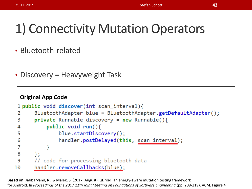### 1) Connectivity Mutation Operators

- Bluetooth-related
- Discovery = Heavyweight Task

#### **Original App Code**

```
1 public void discover(int scan interval){
      BluetoothAdapter blue = BluetoothAdapter.getDefaultAdapter();
 2
 3
      private Runnable discovery = new Runnable(){
           public void run()4
               blue.startDiscovery();
 5
               handler.postDelayed(this, scan_interval);
 6
7
           }
8
      };
9
      // code for processing bluetooth data
      handler.removeCallbacks(blue);
10
```